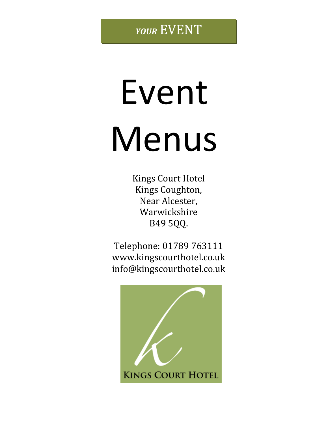# Event Menus

Kings Court Hotel Kings Coughton, Near Alcester, Warwickshire B49 5QQ.

Telephone: 01789 763111 [www.kingscourthotel.co.uk](http://www.kingscourthotel.co.uk/) info@kingscourthotel.co.uk

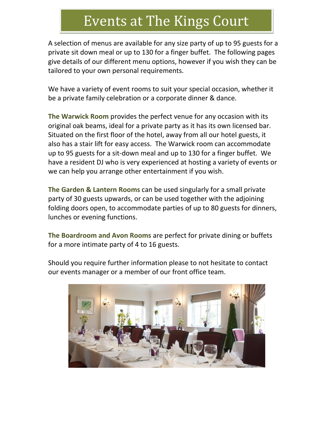## Events at The Kings Court

A selection of menus are available for any size party of up to 95 guests for a private sit down meal or up to 130 for a finger buffet. The following pages give details of our different menu options, however if you wish they can be tailored to your own personal requirements.

We have a variety of event rooms to suit your special occasion, whether it be a private family celebration or a corporate dinner & dance.

**The Warwick Room** provides the perfect venue for any occasion with its original oak beams, ideal for a private party as it has its own licensed bar. Situated on the first floor of the hotel, away from all our hotel guests, it also has a stair lift for easy access. The Warwick room can accommodate up to 95 guests for a sit-down meal and up to 130 for a finger buffet. We have a resident DJ who is very experienced at hosting a variety of events or we can help you arrange other entertainment if you wish.

**The Garden & Lantern Rooms** can be used singularly for a small private party of 30 guests upwards, or can be used together with the adjoining folding doors open, to accommodate parties of up to 80 guests for dinners, lunches or evening functions.

**The Boardroom and Avon Rooms** are perfect for private dining or buffets for a more intimate party of 4 to 16 guests.

Should you require further information please to not hesitate to contact our events manager or a member of our front office team.

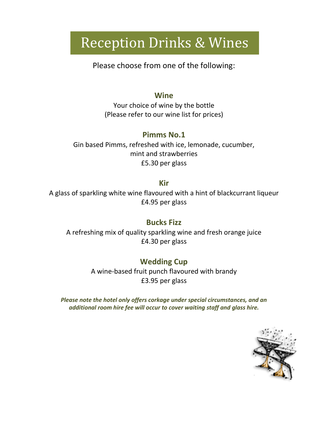# Reception Drinks & Wines

Please choose from one of the following:

#### **Wine**

Your choice of wine by the bottle (Please refer to our wine list for prices)

#### **Pimms No.1**

Gin based Pimms, refreshed with ice, lemonade, cucumber, mint and strawberries £5.30 per glass

#### **Kir**

A glass of sparkling white wine flavoured with a hint of blackcurrant liqueur £4.95 per glass

#### **Bucks Fizz**

A refreshing mix of quality sparkling wine and fresh orange juice £4.30 per glass

#### **Wedding Cup**

A wine-based fruit punch flavoured with brandy £3.95 per glass

*Please note the hotel only offers corkage under special circumstances, and an additional room hire fee will occur to cover waiting staff and glass hire.* 

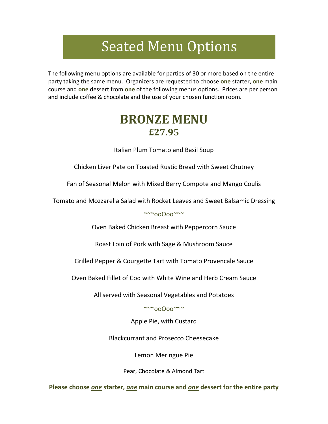# Seated Menu Options

The following menu options are available for parties of 30 or more based on the entire party taking the same menu. Organizers are requested to choose **one** starter, **one** main course and **one** dessert from **one** of the following menus options. Prices are per person and include coffee & chocolate and the use of your chosen function room.

## **BRONZE MENU £27.95**

Italian Plum Tomato and Basil Soup

Chicken Liver Pate on Toasted Rustic Bread with Sweet Chutney

Fan of Seasonal Melon with Mixed Berry Compote and Mango Coulis

Tomato and Mozzarella Salad with Rocket Leaves and Sweet Balsamic Dressing

~~~ooOoo~~~

Oven Baked Chicken Breast with Peppercorn Sauce

Roast Loin of Pork with Sage & Mushroom Sauce

Grilled Pepper & Courgette Tart with Tomato Provencale Sauce

Oven Baked Fillet of Cod with White Wine and Herb Cream Sauce

All served with Seasonal Vegetables and Potatoes

~~~ooOoo~~~

Apple Pie, with Custard

Blackcurrant and Prosecco Cheesecake

Lemon Meringue Pie

Pear, Chocolate & Almond Tart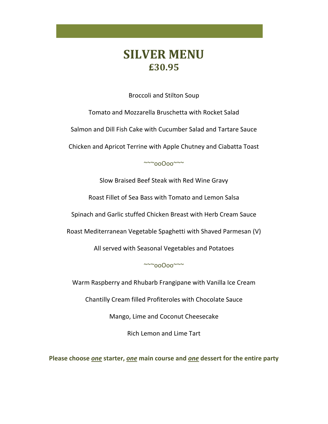## **SILVER MENU £30.95**

Broccoli and Stilton Soup

Tomato and Mozzarella Bruschetta with Rocket Salad Salmon and Dill Fish Cake with Cucumber Salad and Tartare Sauce

Chicken and Apricot Terrine with Apple Chutney and Ciabatta Toast

~~~ooOoo~~~

Slow Braised Beef Steak with Red Wine Gravy

Roast Fillet of Sea Bass with Tomato and Lemon Salsa

Spinach and Garlic stuffed Chicken Breast with Herb Cream Sauce

Roast Mediterranean Vegetable Spaghetti with Shaved Parmesan (V)

All served with Seasonal Vegetables and Potatoes

~~~ooOoo~~~

Warm Raspberry and Rhubarb Frangipane with Vanilla Ice Cream

Chantilly Cream filled Profiteroles with Chocolate Sauce

Mango, Lime and Coconut Cheesecake

Rich Lemon and Lime Tart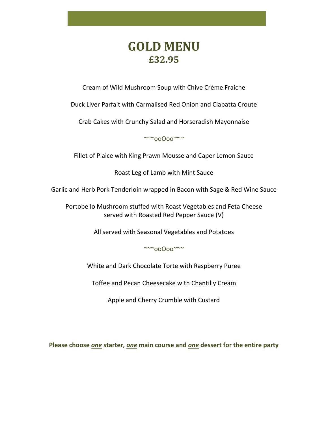## **GOLD MENU £32.95**

Cream of Wild Mushroom Soup with Chive Crème Fraiche

Duck Liver Parfait with Carmalised Red Onion and Ciabatta Croute

Crab Cakes with Crunchy Salad and Horseradish Mayonnaise

~~~ooOoo~~~

Fillet of Plaice with King Prawn Mousse and Caper Lemon Sauce

Roast Leg of Lamb with Mint Sauce

Garlic and Herb Pork Tenderloin wrapped in Bacon with Sage & Red Wine Sauce

Portobello Mushroom stuffed with Roast Vegetables and Feta Cheese served with Roasted Red Pepper Sauce (V)

All served with Seasonal Vegetables and Potatoes

~~~ooOoo~~~

White and Dark Chocolate Torte with Raspberry Puree

Toffee and Pecan Cheesecake with Chantilly Cream

Apple and Cherry Crumble with Custard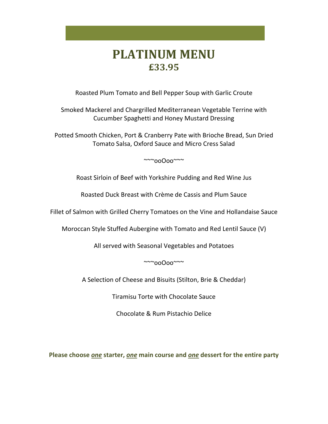## **PLATINUM MENU £33.95**

Roasted Plum Tomato and Bell Pepper Soup with Garlic Croute

Smoked Mackerel and Chargrilled Mediterranean Vegetable Terrine with Cucumber Spaghetti and Honey Mustard Dressing

Potted Smooth Chicken, Port & Cranberry Pate with Brioche Bread, Sun Dried Tomato Salsa, Oxford Sauce and Micro Cress Salad

~~~ooOoo~~~

Roast Sirloin of Beef with Yorkshire Pudding and Red Wine Jus

Roasted Duck Breast with Crème de Cassis and Plum Sauce

Fillet of Salmon with Grilled Cherry Tomatoes on the Vine and Hollandaise Sauce

Moroccan Style Stuffed Aubergine with Tomato and Red Lentil Sauce (V)

All served with Seasonal Vegetables and Potatoes

~~~ooOoo~~~

A Selection of Cheese and Bisuits (Stilton, Brie & Cheddar)

Tiramisu Torte with Chocolate Sauce

Chocolate & Rum Pistachio Delice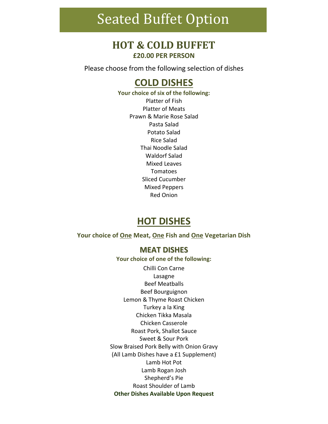## Seated Buffet Option

#### **HOT & COLD BUFFET £20.00 PER PERSON**

Please choose from the following selection of dishes

#### **COLD DISHES**

**Your choice of six of the following:** Platter of Fish Platter of Meats Prawn & Marie Rose Salad Pasta Salad Potato Salad Rice Salad Thai Noodle Salad Waldorf Salad Mixed Leaves Tomatoes Sliced Cucumber Mixed Peppers Red Onion

#### **HOT DISHES**

**Your choice of One Meat, One Fish and One Vegetarian Dish**

#### **MEAT DISHES**

**Your choice of one of the following:** Chilli Con Carne Lasagne Beef Meatballs Beef Bourguignon Lemon & Thyme Roast Chicken Turkey a la King Chicken Tikka Masala Chicken Casserole Roast Pork, Shallot Sauce Sweet & Sour Pork Slow Braised Pork Belly with Onion Gravy (All Lamb Dishes have a £1 Supplement) Lamb Hot Pot Lamb Rogan Josh Shepherd's Pie Roast Shoulder of Lamb **Other Dishes Available Upon Request**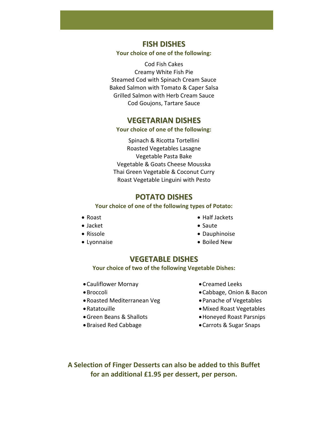**FISH DISHES**

**Your choice of one of the following:**

Cod Fish Cakes Creamy White Fish Pie Steamed Cod with Spinach Cream Sauce Baked Salmon with Tomato & Caper Salsa Grilled Salmon with Herb Cream Sauce Cod Goujons, Tartare Sauce

#### **VEGETARIAN DISHES**

#### **Your choice of one of the following:**

Spinach & Ricotta Tortellini Roasted Vegetables Lasagne Vegetable Pasta Bake Vegetable & Goats Cheese Mousska Thai Green Vegetable & Coconut Curry Roast Vegetable Linguini with Pesto

#### **POTATO DISHES**

#### **Your choice of one of the following types of Potato:**

- Roast
- Jacket
- Rissole
- Lyonnaise
- Half Jackets
- Saute
- Dauphinoise
- Boiled New

#### **VEGETABLE DISHES**

**Your choice of two of the following Vegetable Dishes:**

- •Cauliflower Mornay
- •Broccoli
- •Roasted Mediterranean Veg
- •Ratatouille
- •Green Beans & Shallots
- •Braised Red Cabbage
- •Creamed Leeks
- •Cabbage, Onion & Bacon
- •Panache of Vegetables
- •Mixed Roast Vegetables
- •Honeyed Roast Parsnips
- •Carrots & Sugar Snaps

**A Selection of Finger Desserts can also be added to this Buffet for an additional £1.95 per dessert, per person.**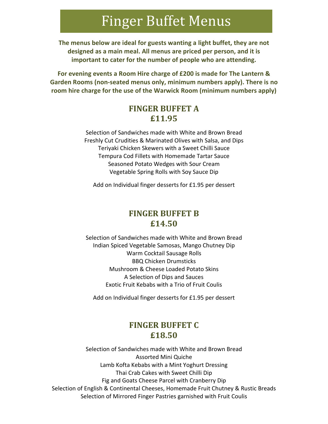## Finger Buffet Menus

**The menus below are ideal for guests wanting a light buffet, they are not designed as a main meal. All menus are priced per person, and it is important to cater for the number of people who are attending.** 

**For evening events a Room Hire charge of £200 is made for The Lantern & Garden Rooms (non-seated menus only, minimum numbers apply). There is no room hire charge for the use of the Warwick Room (minimum numbers apply)**

#### **FINGER BUFFET A £11.95**

Selection of Sandwiches made with White and Brown Bread Freshly Cut Crudities & Marinated Olives with Salsa, and Dips Teriyaki Chicken Skewers with a Sweet Chilli Sauce Tempura Cod Fillets with Homemade Tartar Sauce Seasoned Potato Wedges with Sour Cream Vegetable Spring Rolls with Soy Sauce Dip

Add on Individual finger desserts for £1.95 per dessert

#### **FINGER BUFFET B £14.50**

Selection of Sandwiches made with White and Brown Bread Indian Spiced Vegetable Samosas, Mango Chutney Dip Warm Cocktail Sausage Rolls BBQ Chicken Drumsticks Mushroom & Cheese Loaded Potato Skins A Selection of Dips and Sauces Exotic Fruit Kebabs with a Trio of Fruit Coulis

Add on Individual finger desserts for £1.95 per dessert

#### **FINGER BUFFET C £18.50**

Selection of Sandwiches made with White and Brown Bread Assorted Mini Quiche Lamb Kofta Kebabs with a Mint Yoghurt Dressing Thai Crab Cakes with Sweet Chilli Dip Fig and Goats Cheese Parcel with Cranberry Dip Selection of English & Continental Cheeses, Homemade Fruit Chutney & Rustic Breads Selection of Mirrored Finger Pastries garnished with Fruit Coulis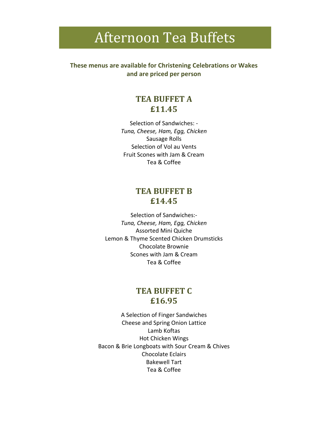## Afternoon Tea Buffets

**These menus are available for Christening Celebrations or Wakes and are priced per person**

#### **TEA BUFFET A £11.45**

Selection of Sandwiches: - *Tuna, Cheese, Ham, Egg, Chicken* Sausage Rolls Selection of Vol au Vents Fruit Scones with Jam & Cream Tea & Coffee

#### **TEA BUFFET B £14.45**

Selection of Sandwiches:- *Tuna, Cheese, Ham, Egg, Chicken* Assorted Mini Quiche Lemon & Thyme Scented Chicken Drumsticks Chocolate Brownie Scones with Jam & Cream Tea & Coffee

#### **TEA BUFFET C £16.95**

A Selection of Finger Sandwiches Cheese and Spring Onion Lattice Lamb Koftas Hot Chicken Wings Bacon & Brie Longboats with Sour Cream & Chives Chocolate Eclairs Bakewell Tart Tea & Coffee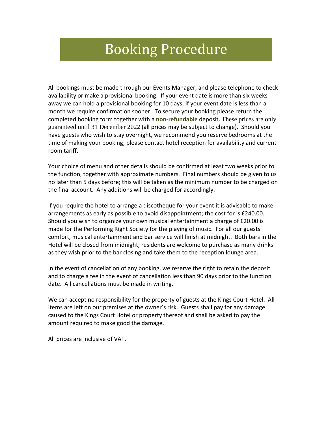## Booking Procedure

All bookings must be made through our Events Manager, and please telephone to check availability or make a provisional booking. If your event date is more than six weeks away we can hold a provisional booking for 10 days; if your event date is less than a month we require confirmation sooner. To secure your booking please return the completed booking form together with a **non-refundable** deposit. These prices are only guaranteed until 31 December 2022 (all prices may be subject to change). Should you have guests who wish to stay overnight, we recommend you reserve bedrooms at the time of making your booking; please contact hotel reception for availability and current room tariff.

Your choice of menu and other details should be confirmed at least two weeks prior to the function, together with approximate numbers. Final numbers should be given to us no later than 5 days before; this will be taken as the minimum number to be charged on the final account. Any additions will be charged for accordingly.

If you require the hotel to arrange a discotheque for your event it is advisable to make arrangements as early as possible to avoid disappointment; the cost for is £240.00. Should you wish to organize your own musical entertainment a charge of £20.00 is made for the Performing Right Society for the playing of music. For all our guests' comfort, musical entertainment and bar service will finish at midnight. Both bars in the Hotel will be closed from midnight; residents are welcome to purchase as many drinks as they wish prior to the bar closing and take them to the reception lounge area.

In the event of cancellation of any booking, we reserve the right to retain the deposit and to charge a fee in the event of cancellation less than 90 days prior to the function date. All cancellations must be made in writing.

We can accept no responsibility for the property of guests at the Kings Court Hotel. All items are left on our premises at the owner's risk. Guests shall pay for any damage caused to the Kings Court Hotel or property thereof and shall be asked to pay the amount required to make good the damage.

All prices are inclusive of VAT.